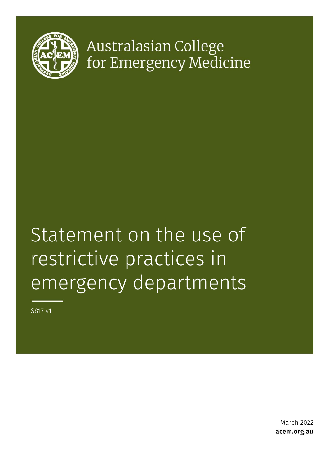

Australasian College for Emergency Medicine

# Statement on the use of restrictive practices in emergency departments

S817 v1

March 2022 acem.org.au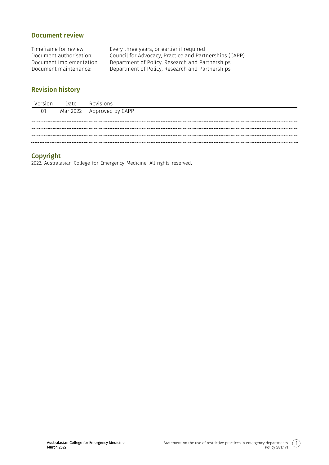## Document review

Timeframe for review: Every three years, or earlier if required Document authorisation: Council for Advocacy, Practice and Partnerships (CAPP) Document implementation: Department of Policy, Research and Partnerships<br>Document maintenance: Department of Policy, Research and Partnerships Department of Policy, Research and Partnerships

# Revision history

| Version | Date | Revisions                 |
|---------|------|---------------------------|
| 01      |      | Mar 2022 Approved by CAPP |
|         |      |                           |
|         |      |                           |
|         |      |                           |
|         |      |                           |

## Copyright

2022. Australasian College for Emergency Medicine. All rights reserved.

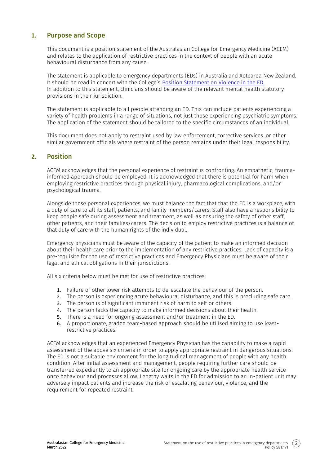## **1.** Purpose and Scope

This document is a position statement of the Australasian College for Emergency Medicine (ACEM) and relates to the application of restrictive practices in the context of people with an acute behavioural disturbance from any cause.

The statement is applicable to emergency departments (EDs) in Australia and Aotearoa New Zealand. It should be read in concert with the College's [Position Statement on Violence in the ED.](https://acem.org.au/getmedia/a3358b1b-f126-4e49-8a8b-0a718275c148/P32-Policy-on-Violence-in-EDs-Mar-11-v02.aspx) In addition to this statement, clinicians should be aware of the relevant mental health statutory provisions in their jurisdiction.

The statement is applicable to all people attending an ED. This can include patients experiencing a variety of health problems in a range of situations, not just those experiencing psychiatric symptoms. The application of the statement should be tailored to the specific circumstances of an individual.

This document does not apply to restraint used by law enforcement, corrective services. or other similar government officials where restraint of the person remains under their legal responsibility.

## **2.** Position

ACEM acknowledges that the personal experience of restraint is confronting. An empathetic, traumainformed approach should be employed. It is acknowledged that there is potential for harm when employing restrictive practices through physical injury, pharmacological complications, and/or psychological trauma.

Alongside these personal experiences, we must balance the fact that that the ED is a workplace, with a duty of care to all its staff, patients, and family members/carers. Staff also have a responsibility to keep people safe during assessment and treatment, as well as ensuring the safety of other staff, other patients, and their families/carers. The decision to employ restrictive practices is a balance of that duty of care with the human rights of the individual.

Emergency physicians must be aware of the capacity of the patient to make an informed decision about their health care prior to the implementation of any restrictive practices. Lack of capacity is a pre-requisite for the use of restrictive practices and Emergency Physicians must be aware of their legal and ethical obligations in their jurisdictions.

All six criteria below must be met for use of restrictive practices:

- 1. Failure of other lower risk attempts to de-escalate the behaviour of the person.
- 2. The person is experiencing acute behavioural disturbance, and this is precluding safe care.
- 3. The person is of significant imminent risk of harm to self or others.
- 4. The person lacks the capacity to make informed decisions about their health.
- 5. There is a need for ongoing assessment and/or treatment in the ED.
- 6. A proportionate, graded team-based approach should be utilised aiming to use leastrestrictive practices.

ACEM acknowledges that an experienced Emergency Physician has the capability to make a rapid assessment of the above six criteria in order to apply appropriate restraint in dangerous situations. The ED is not a suitable environment for the longitudinal management of people with any health condition. After initial assessment and management, people requiring further care should be transferred expediently to an appropriate site for ongoing care by the appropriate health service once behaviour and processes allow. Lengthy waits in the ED for admission to an in-patient unit may adversely impact patients and increase the risk of escalating behaviour, violence, and the requirement for repeated restraint.

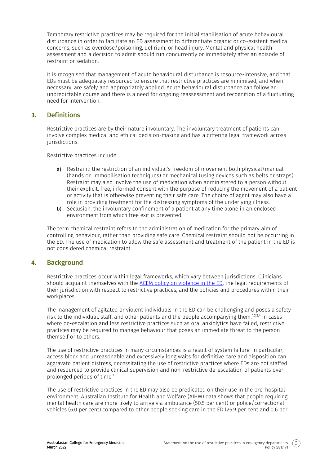Temporary restrictive practices may be required for the initial stabilisation of acute behavioural disturbance in order to facilitate an ED assessment to differentiate organic or co-existent medical concerns, such as overdose/poisoning, delirium, or head injury. Mental and physical health assessment and a decision to admit should run concurrently or immediately after an episode of restraint or sedation.

It is recognised that management of acute behavioural disturbance is resource-intensive, and that EDs must be adequately resourced to ensure that restrictive practices are minimised, and when necessary, are safely and appropriately applied. Acute behavioural disturbance can follow an unpredictable course and there is a need for ongoing reassessment and recognition of a fluctuating need for intervention.

## **3.** Definitions

Restrictive practices are by their nature involuntary. The involuntary treatment of patients can involve complex medical and ethical decision-making and has a differing legal framework across jurisdictions.

Restrictive practices include:

- a) Restraint: the restriction of an individual's freedom of movement both physical/manual (hands on immobilisation techniques) or mechanical (using devices such as belts or straps). Restraint may also involve the use of medication when administered to a person without their explicit, free, informed consent with the purpose of reducing the movement of a patient or activity that is otherwise preventing their safe care. The choice of agent may also have a role in providing treatment for the distressing symptoms of the underlying illness.
- b) Seclusion: the involuntary confinement of a patient at any time alone in an enclosed environment from which free exit is prevented.

The term chemical restraint refers to the administration of medication for the primary aim of controlling behaviour, rather than providing safe care. Chemical restraint should not be occurring in the ED. The use of medication to allow the safe assessment and treatment of the patient in the ED is not considered chemical restraint.

## **4.** Background

Restrictive practices occur within legal frameworks, which vary between jurisdictions. Clinicians should acquaint themselves with the [ACEM policy on violence in the ED,](https://acem.org.au/getmedia/a3358b1b-f126-4e49-8a8b-0a718275c148/P32-Policy-on-Violence-in-EDs-Mar-11-v02.aspx) the legal requirements of their jurisdiction with respect to restrictive practices, and the policies and procedures within their workplaces.

The management of agitated or violent individuals in the ED can be challenging and poses a safety risk to the individual, staff, and other patients and the people accompanying them.<sup>1,2,3,4</sup> In cases where de-escalation and less restrictive practices such as oral anxiolytics have failed, restrictive practices may be required to manage behaviour that poses an immediate threat to the person themself or to others.

The use of restrictive practices in many circumstances is a result of system failure. In particular, access block and unreasonable and excessively long waits for definitive care and disposition can aggravate patient distress, necessitating the use of restrictive practices where EDs are not staffed and resourced to provide clinical supervision and non-restrictive de-escalation of patients over prolonged periods of time.<sup>1</sup>

The use of restrictive practices in the ED may also be predicated on their use in the pre-hospital environment. Australian Institute for Health and Welfare (AIHW) data shows that people requiring mental health care are more likely to arrive via ambulance (50.5 per cent) or police/correctional vehicles (6.0 per cent) compared to other people seeking care in the ED (26.9 per cent and 0.6 per

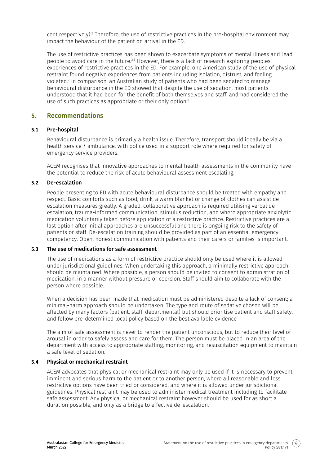cent respectively).<sup>5</sup> Therefore, the use of restrictive practices in the pre-hospital environment may impact the behaviour of the patient on arrival in the ED.

The use of restrictive practices has been shown to exacerbate symptoms of mental illness and lead people to avoid care in the future.<sup>3,6</sup> However, there is a lack of research exploring peoples' experiences of restrictive practices in the ED. For example, one American study of the use of physical restraint found negative experiences from patients including isolation, distrust, and feeling violated.<sup>7</sup> In comparison, an Australian study of patients who had been sedated to manage behavioural disturbance in the ED showed that despite the use of sedation, most patients understood that it had been for the benefit of both themselves and staff, and had considered the use of such practices as appropriate or their only option.<sup>8</sup>

## **5.** Recommendations

#### **5.1** Pre-hospital

Behavioural disturbance is primarily a health issue. Therefore, transport should ideally be via a health service / ambulance, with police used in a support role where required for safety of emergency service providers.

ACEM recognises that innovative approaches to mental health assessments in the community have the potential to reduce the risk of acute behavioural assessment escalating.

#### **5.2** De-escalation

People presenting to ED with acute behavioural disturbance should be treated with empathy and respect. Basic comforts such as food, drink, a warm blanket or change of clothes can assist deescalation measures greatly. A graded, collaborative approach is required utilising verbal deescalation, trauma-informed communication, stimulus reduction, and where appropriate anxiolytic medication voluntarily taken before application of a restrictive practice. Restrictive practices are a last option after initial approaches are unsuccessful and there is ongoing risk to the safety of patients or staff. De-escalation training should be provided as part of an essential emergency competency. Open, honest communication with patients and their carers or families is important.

#### **5.3** The use of medications for safe assessment

The use of medications as a form of restrictive practice should only be used where it is allowed under jurisdictional guidelines. When undertaking this approach, a minimally restrictive approach should be maintained. Where possible, a person should be invited to consent to administration of medication, in a manner without pressure or coercion. Staff should aim to collaborate with the person where possible.

When a decision has been made that medication must be administered despite a lack of consent; a minimal-harm approach should be undertaken. The type and route of sedative chosen will be affected by many factors (patient, staff, departmental) but should prioritise patient and staff safety, and follow pre-determined local policy based on the best available evidence

The aim of safe assessment is never to render the patient unconscious, but to reduce their level of arousal in order to safely assess and care for them. The person must be placed in an area of the department with access to appropriate staffing, monitoring, and resuscitation equipment to maintain a safe level of sedation.

#### **5.4** Physical or mechanical restraint

ACEM advocates that physical or mechanical restraint may only be used if it is necessary to prevent imminent and serious harm to the patient or to another person, where all reasonable and less restrictive options have been tried or considered, and where it is allowed under jurisdictional guidelines. Physical restraint may be used to administer medical treatment including to facilitate safe assessment. Any physical or mechanical restraint however should be used for as short a duration possible, and only as a bridge to effective de-escalation.

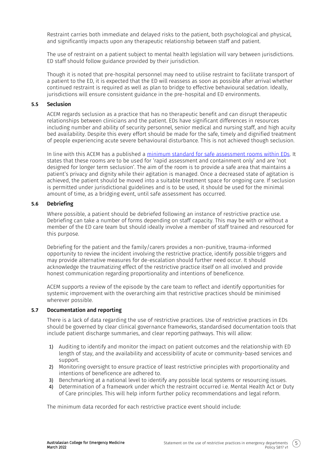Restraint carries both immediate and delayed risks to the patient, both psychological and physical, and significantly impacts upon any therapeutic relationship between staff and patient.

The use of restraint on a patient subject to mental health legislation will vary between jurisdictions. ED staff should follow guidance provided by their jurisdiction.

Though it is noted that pre-hospital personnel may need to utilise restraint to facilitate transport of a patient to the ED, it is expected that the ED will reassess as soon as possible after arrival whether continued restraint is required as well as plan to bridge to effective behavioural sedation. Ideally, jurisdictions will ensure consistent guidance in the pre-hospital and ED environments.

#### **5.5** Seclusion

ACEM regards seclusion as a practice that has no therapeutic benefit and can disrupt therapeutic relationships between clinicians and the patient. EDs have significant differences in resources including number and ability of security personnel, senior medical and nursing staff, and high acuity bed availability. Despite this every effort should be made for the safe, timely and dignified treatment of people experiencing acute severe behavioural disturbance. This is not achieved though seclusion.

In line with this ACEM has a published a [minimum standard for safe assessment rooms within EDs.](https://acem.org.au/getmedia/faf63c3b-c896-4a7e-aa1f-226b49d62f94/Emergency_Department_Design_Guidelines) It states that these rooms are to be used for 'rapid assessment and containment only' and are 'not designed for longer term seclusion'. The aim of the room is to provide a safe area that maintains a patient's privacy and dignity while their agitation is managed. Once a decreased state of agitation is achieved, the patient should be moved into a suitable treatment space for ongoing care. If seclusion is permitted under jurisdictional guidelines and is to be used, it should be used for the minimal amount of time, as a bridging event, until safe assessment has occurred.

#### **5.6** Debriefing

Where possible, a patient should be debriefed following an instance of restrictive practice use. Debriefing can take a number of forms depending on staff capacity. This may be with or without a member of the ED care team but should ideally involve a member of staff trained and resourced for this purpose.

Debriefing for the patient and the family/carers provides a non-punitive, trauma-informed opportunity to review the incident involving the restrictive practice, identify possible triggers and may provide alternative measures for de-escalation should further need occur. It should acknowledge the traumatizing effect of the restrictive practice itself on all involved and provide honest communication regarding proportionality and intentions of beneficence.

ACEM supports a review of the episode by the care team to reflect and identify opportunities for systemic improvement with the overarching aim that restrictive practices should be minimised wherever possible.

#### **5.7** Documentation and reporting

There is a lack of data regarding the use of restrictive practices. Use of restrictive practices in EDs should be governed by clear clinical governance frameworks, standardised documentation tools that include patient discharge summaries, and clear reporting pathways. This will allow:

- 1) Auditing to identify and monitor the impact on patient outcomes and the relationship with ED length of stay, and the availability and accessibility of acute or community-based services and support.
- 2) Monitoring oversight to ensure practice of least restrictive principles with proportionality and intentions of beneficence are adhered to.
- 3) Benchmarking at a national level to identify any possible local systems or resourcing issues.
- 4) Determination of a framework under which the restraint occurred i.e. Mental Health Act or Duty of Care principles. This will help inform further policy recommendations and legal reform.

The minimum data recorded for each restrictive practice event should include:

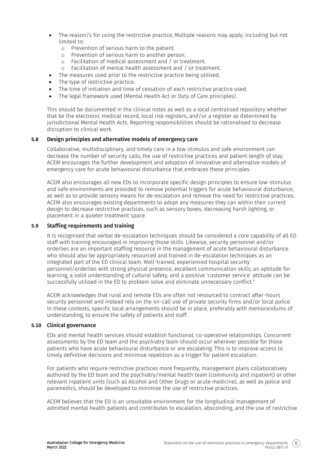- The reason/s for using the restrictive practice. Multiple reasons may apply, including but not limited to:
	- o Prevention of serious harm to the patient.
	- o Prevention of serious harm to another person.
	- o Facilitation of medical assessment and / or treatment.
	- o Facilitation of mental health assessment and / or treatment.
	- The measures used prior to the restrictive practice being utilised.
- The type of restrictive practice.
- The time of initiation and time of cessation of each restrictive practice used.
- The legal framework used (Mental Health Act or Duty of Care principles).

This should be documented in the clinical notes as well as a local centralised repository whether that be the electronic medical record, local risk registers, and/or a register as determined by jurisdictional Mental Health Acts. Reporting responsibilities should be rationalised to decrease disruption to clinical work.

#### **5.8** Design principles and alternative models of emergency care

Collaborative, multidisciplinary, and timely care in a low-stimulus and safe environment can decrease the number of security calls, the use of restrictive practices and patient length of stay. ACEM encourages the further development and adoption of innovative and alternative models of emergency care for acute behavioural disturbance that embraces these principles.

ACEM also encourages all new EDs to incorporate specific design principles to ensure low-stimulus and safe environments are provided to remove potential triggers for acute behavioural disturbance, as well as to provide sensory means for de-escalation and remove the need for restrictive practices. ACEM also encourages existing departments to adopt any measures they can within their current design to decrease restrictive practices, such as sensory boxes, decreasing harsh lighting, or placement in a quieter treatment space.

#### **5.9** Staffing requirements and training

It is recognised that verbal de-escalation techniques should be considered a core capability of all ED staff with training encouraged in improving those skills. Likewise, security personnel and/or orderlies are an important staffing resource in the management of acute behavioural disturbance who should also be appropriately resourced and trained in de-escalation techniques as an integrated part of the ED clinical team. Well-trained, experienced hospital security personnel/orderlies with strong physical presence, excellent communication skills, an aptitude for learning, a solid understanding of cultural safety, and a positive 'customer service' attitude can be successfully utilised in the ED to problem solve and eliminate unnecessary conflict.<sup>9</sup>

ACEM acknowledges that rural and remote EDs are often not resourced to contract after-hours security personnel and instead rely on the on-call use of private security firms and/or local police. In these contexts, specific local arrangements should be in place, preferably with memorandums of understanding, to ensure the safety of patients and staff.

#### **5.10** Clinical governance

EDs and mental health services should establish functional, co-operative relationships. Concurrent assessments by the ED team and the psychiatry team should occur wherever possible for those patients who have acute behavioural disturbance or are escalating. This is to improve access to timely definitive decisions and minimise repetition as a trigger for patient escalation.

For patients who require restrictive practices more frequently, management plans collaboratively authored by the ED team and the psychiatry/mental health team (community and inpatient) or other relevant inpatient units (such as Alcohol and Other Drugs or acute medicine), as well as police and paramedics, should be developed to minimise the use of restrictive practices.

ACEM believes that the ED is an unsuitable environment for the longitudinal management of admitted mental health patients and contributes to escalation, absconding, and the use of restrictive

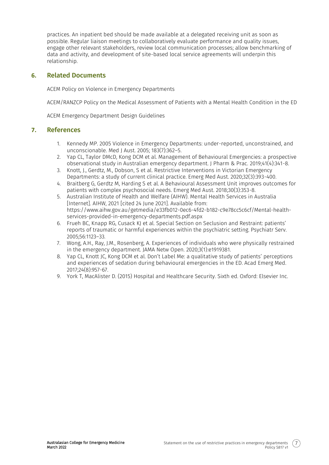practices. An inpatient bed should be made available at a delegated receiving unit as soon as possible. Regular liaison meetings to collaboratively evaluate performance and quality issues, engage other relevant stakeholders, review local communication processes; allow benchmarking of data and activity, and development of site-based local service agreements will underpin this relationship.

## **6.** Related Documents

ACEM Policy on Violence in Emergency Departments

ACEM/RANZCP Policy on the Medical Assessment of Patients with a Mental Health Condition in the ED

ACEM Emergency Department Design Guidelines

### **7.** References

- 1. Kennedy MP. 2005 Violence in Emergency Departments: under-reported, unconstrained, and unconscionable. Med J Aust. 2005; 183(7):362–5.
- 2. Yap CL, Taylor DMcD, Kong DCM et al. Management of Behavioural Emergencies: a prospective observational study in Australian emergency department. J Pharm & Prac. 2019;41(4):341-8.
- 3. Knott, J., Gerdtz, M., Dobson, S et al. Restrictive Interventions in Victorian Emergency Departments: a study of current clinical practice. Emerg Med Aust. 2020;32(3):393-400.
- 4. Braitberg G, Gerdtz M, Harding S et al. A Behavioural Assessment Unit improves outcomes for patients with complex psychosocial needs. Emerg Med Aust. 2018;30(3):353-8.
- 5. Australian Institute of Health and Welfare (AIHW). Mental Health Services in Australia [Internet]. AIHW, 2021 [cited 24 June 2021]. Available from: [https://www.aihw.gov.au/getmedia/e33fb012-0ec6-4fd2-b182-c9e78cc5c6cf/Mental-health](https://www.aihw.gov.au/getmedia/e33fb012-0ec6-4fd2-b182-c9e78cc5c6cf/Mental-health-services-provided-in-emergency-departments.pdf.aspx)[services-provided-in-emergency-departments.pdf.aspx](https://www.aihw.gov.au/getmedia/e33fb012-0ec6-4fd2-b182-c9e78cc5c6cf/Mental-health-services-provided-in-emergency-departments.pdf.aspx)
- 6. Frueh BC, Knapp RG, Cusack KJ et al. Special Section on Seclusion and Restraint: patients' reports of traumatic or harmful experiences within the psychiatric setting. Psychiatr Serv. 2005;56:1123–33.
- 7. Wong, A.H., Ray, J.M., Rosenberg, A. Experiences of individuals who were physically restrained in the emergency department. JAMA Netw Open. 2020;3(1):e1919381.
- 8. Yap CL, Knott JC, Kong DCM et al. Don't Label Me: a qualitative study of patients' perceptions and experiences of sedation during behavioural emergencies in the ED. Acad Emerg Med. 2017;24(8):957-67.
- 9. York T, MacAlister D. (2015) Hospital and Healthcare Security. Sixth ed. Oxford: Elsevier Inc.